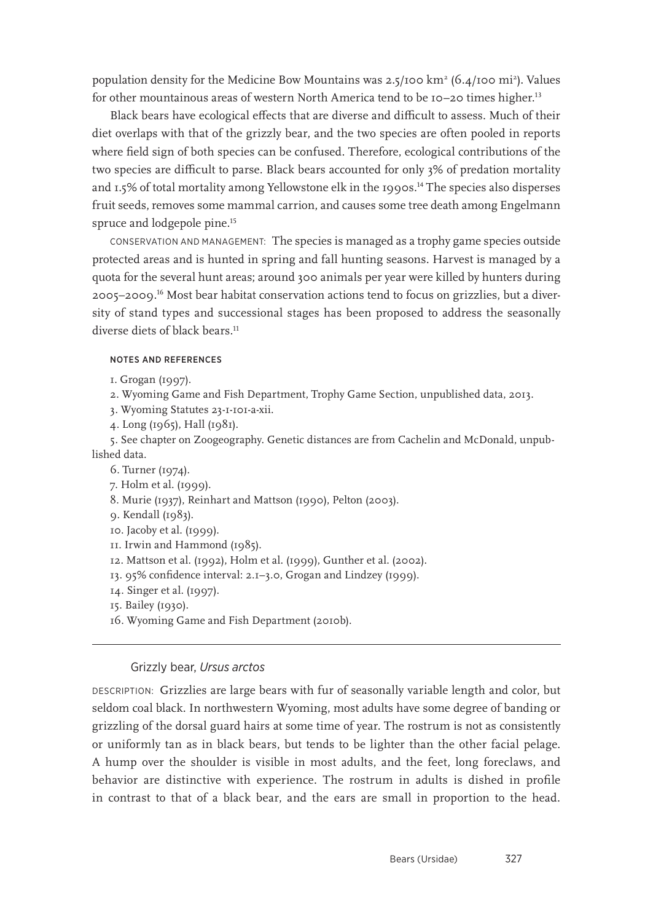population density for the Medicine Bow Mountains was 2.5/100 km<sup>2</sup> (6.4/100 mi<sup>2</sup>). Values for other mountainous areas of western North America tend to be 10–20 times higher.<sup>13</sup>

Black bears have ecological effects that are diverse and difficult to assess. Much of their diet overlaps with that of the grizzly bear, and the two species are often pooled in reports where field sign of both species can be confused. Therefore, ecological contributions of the two species are difficult to parse. Black bears accounted for only 3% of predation mortality and 1.5% of total mortality among Yellowstone elk in the 1990s.<sup>14</sup> The species also disperses fruit seeds, removes some mammal carrion, and causes some tree death among Engelmann spruce and lodgepole pine.<sup>15</sup>

CONSERVATION AND MANAGEMENT: The species is managed as a trophy game species outside protected areas and is hunted in spring and fall hunting seasons. Harvest is managed by a quota for the several hunt areas; around 300 animals per year were killed by hunters during 2005–2009.16 Most bear habitat conservation actions tend to focus on grizzlies, but a diversity of stand types and successional stages has been proposed to address the seasonally diverse diets of black bears.<sup>11</sup>

#### NOTES AND REFERENCES

1. Grogan (1997).

- 2. Wyoming Game and Fish Department, Trophy Game Section, unpublished data, 2013.
- 3. Wyoming Statutes 23-1-101-a-xii.
- 4. Long (1965), Hall (1981).

5. See chapter on Zoogeography. Genetic distances are from Cachelin and McDonald, unpublished data.

6. Turner (1974).

- 7. Holm et al. (1999).
- 8. Murie (1937), Reinhart and Mattson (1990), Pelton (2003).
- 9. Kendall (1983).

10. Jacoby et al. (1999).

11. Irwin and Hammond (1985).

12. Mattson et al. (1992), Holm et al. (1999), Gunther et al. (2002).

- 13. 95% confidence interval: 2.1–3.0, Grogan and Lindzey (1999).
- 14. Singer et al. (1997).
- 15. Bailey (1930).
- 16. Wyoming Game and Fish Department (2010b).

### Grizzly bear, *Ursus arctos*

DESCRIPTION: Grizzlies are large bears with fur of seasonally variable length and color, but seldom coal black. In northwestern Wyoming, most adults have some degree of banding or grizzling of the dorsal guard hairs at some time of year. The rostrum is not as consistently or uniformly tan as in black bears, but tends to be lighter than the other facial pelage. A hump over the shoulder is visible in most adults, and the feet, long foreclaws, and behavior are distinctive with experience. The rostrum in adults is dished in profile in contrast to that of a black bear, and the ears are small in proportion to the head.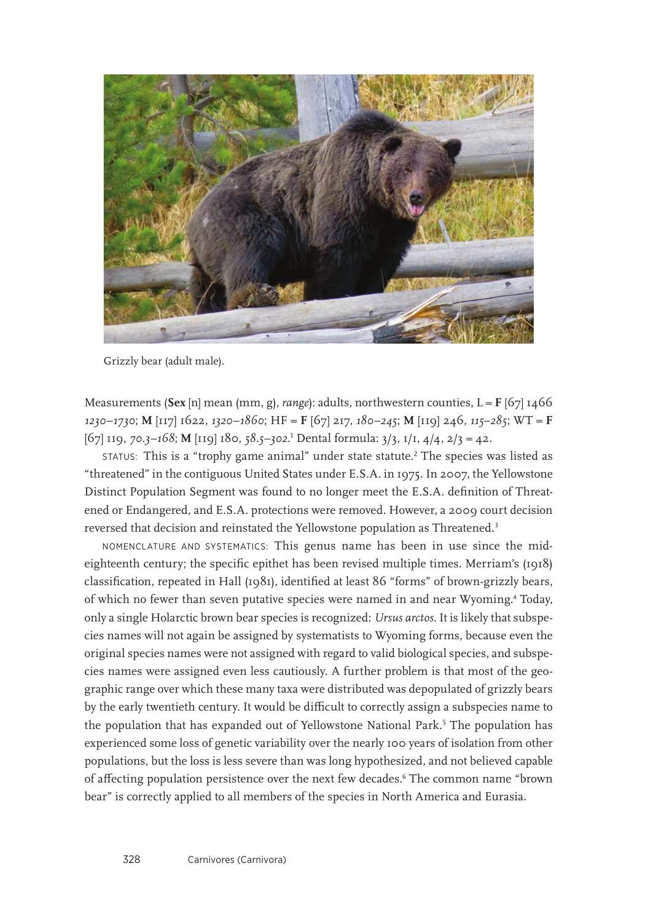

Grizzly bear (adult male).

Measurements (Sex [n] mean (mm, g), *range*): adults, northwestern counties,  $L = F$  [67] 1466 *1230*–*1730*; **M** [117] 1622, *1320*–*1860*; HF = **F** [67] 217, *180*–*245*; **M** [119] 246, *115*–*285*; WT = **F** [67] 119, *70.3–168*; **M** [119] 180, *58.5–302*. 1 Dental formula: 3/3, 1/1, 4/4, 2/3 = 42.

 $\sigma$  status: This is a "trophy game animal" under state statute. $^2$  The species was listed as "threatened" in the contiguous United States under E.S.A. in 1975. In 2007, the Yellowstone Distinct Population Segment was found to no longer meet the E.S.A. definition of Threatened or Endangered, and E.S.A. protections were removed. However, a 2009 court decision reversed that decision and reinstated the Yellowstone population as Threatened.<sup>3</sup>

NOMENCLATURE AND SYSTEMATICS: This genus name has been in use since the mideighteenth century; the specific epithet has been revised multiple times. Merriam's (1918) classification, repeated in Hall (1981), identified at least 86 "forms" of brown-grizzly bears, of which no fewer than seven putative species were named in and near Wyoming.4 Today, only a single Holarctic brown bear species is recognized: *Ursus arctos*. It is likely that subspecies names will not again be assigned by systematists to Wyoming forms, because even the original species names were not assigned with regard to valid biological species, and subspecies names were assigned even less cautiously. A further problem is that most of the geographic range over which these many taxa were distributed was depopulated of grizzly bears by the early twentieth century. It would be difficult to correctly assign a subspecies name to the population that has expanded out of Yellowstone National Park.<sup>5</sup> The population has experienced some loss of genetic variability over the nearly 100 years of isolation from other populations, but the loss is less severe than was long hypothesized, and not believed capable of affecting population persistence over the next few decades.6 The common name "brown bear" is correctly applied to all members of the species in North America and Eurasia.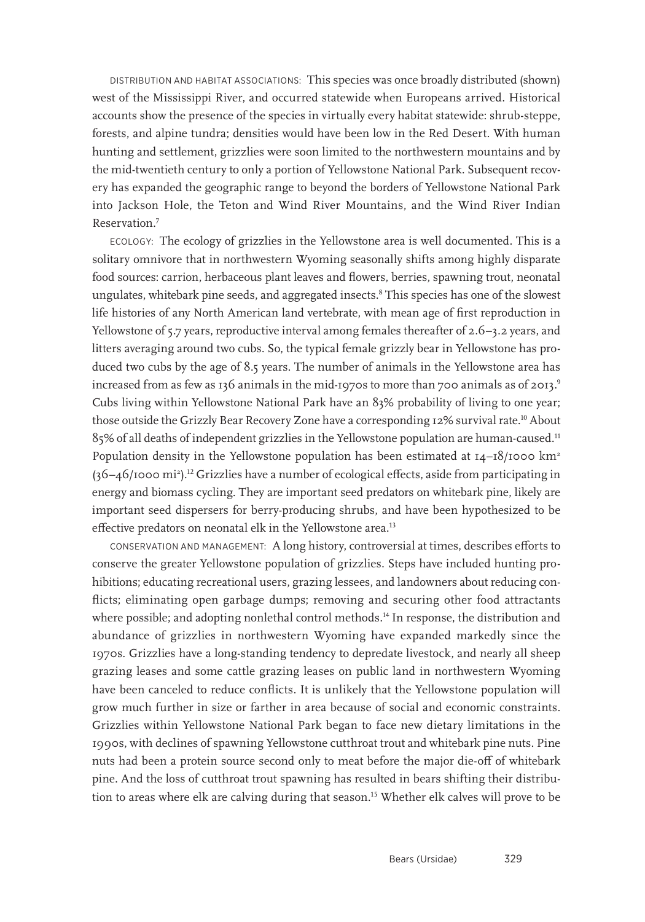DISTRIBUTION AND HABITAT ASSOCIATIONS: This species was once broadly distributed (shown) west of the Mississippi River, and occurred statewide when Europeans arrived. Historical accounts show the presence of the species in virtually every habitat statewide: shrub-steppe, forests, and alpine tundra; densities would have been low in the Red Desert. With human hunting and settlement, grizzlies were soon limited to the northwestern mountains and by the mid-twentieth century to only a portion of Yellowstone National Park. Subsequent recovery has expanded the geographic range to beyond the borders of Yellowstone National Park into Jackson Hole, the Teton and Wind River Mountains, and the Wind River Indian Reservation.7

ECOLOGY: The ecology of grizzlies in the Yellowstone area is well documented. This is a solitary omnivore that in northwestern Wyoming seasonally shifts among highly disparate food sources: carrion, herbaceous plant leaves and flowers, berries, spawning trout, neonatal ungulates, whitebark pine seeds, and aggregated insects.<sup>8</sup> This species has one of the slowest life histories of any North American land vertebrate, with mean age of first reproduction in Yellowstone of 5.7 years, reproductive interval among females thereafter of 2.6–3.2 years, and litters averaging around two cubs. So, the typical female grizzly bear in Yellowstone has produced two cubs by the age of 8.5 years. The number of animals in the Yellowstone area has increased from as few as 136 animals in the mid-1970s to more than 700 animals as of 2013.<sup>9</sup> Cubs living within Yellowstone National Park have an 83% probability of living to one year; those outside the Grizzly Bear Recovery Zone have a corresponding 12% survival rate.<sup>10</sup> About 85% of all deaths of independent grizzlies in the Yellowstone population are human-caused.11 Population density in the Yellowstone population has been estimated at  $I_4-I_0/I_0$ 00 km<sup>2</sup>  $(36 - 46$ /1000 mi<sup>2</sup>).<sup>12</sup> Grizzlies have a number of ecological effects, aside from participating in energy and biomass cycling. They are important seed predators on whitebark pine, likely are important seed dispersers for berry-producing shrubs, and have been hypothesized to be effective predators on neonatal elk in the Yellowstone area.<sup>13</sup>

CONSERVATION AND MANAGEMENT: A long history, controversial at times, describes efforts to conserve the greater Yellowstone population of grizzlies. Steps have included hunting prohibitions; educating recreational users, grazing lessees, and landowners about reducing conflicts; eliminating open garbage dumps; removing and securing other food attractants where possible; and adopting nonlethal control methods.<sup>14</sup> In response, the distribution and abundance of grizzlies in northwestern Wyoming have expanded markedly since the 1970s. Grizzlies have a long-standing tendency to depredate livestock, and nearly all sheep grazing leases and some cattle grazing leases on public land in northwestern Wyoming have been canceled to reduce conflicts. It is unlikely that the Yellowstone population will grow much further in size or farther in area because of social and economic constraints. Grizzlies within Yellowstone National Park began to face new dietary limitations in the 1990s, with declines of spawning Yellowstone cutthroat trout and whitebark pine nuts. Pine nuts had been a protein source second only to meat before the major die-off of whitebark pine. And the loss of cutthroat trout spawning has resulted in bears shifting their distribution to areas where elk are calving during that season.<sup>15</sup> Whether elk calves will prove to be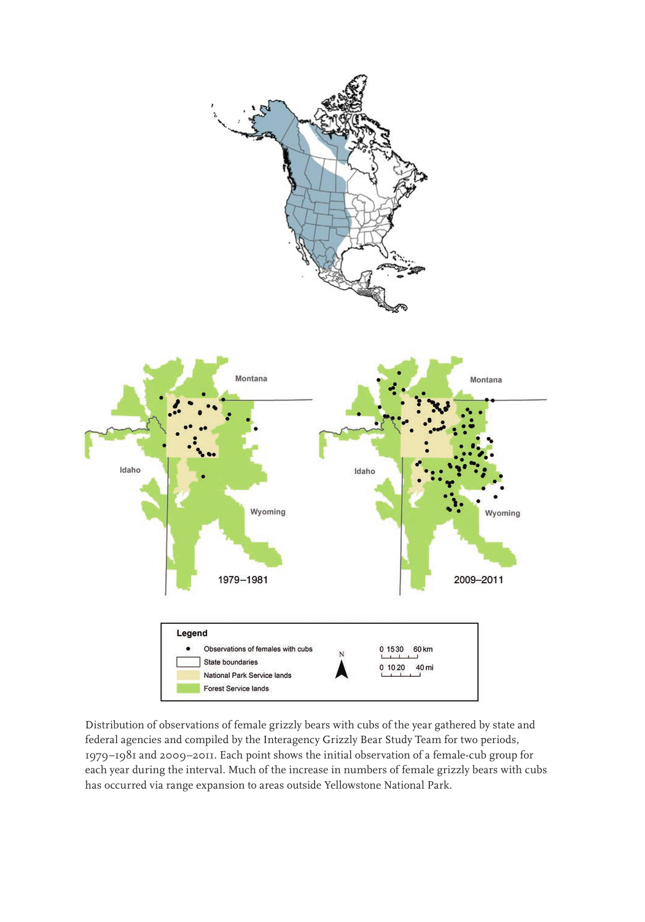



Distribution of observations of female grizzly bears with cubs of the year gathered by state and federal agencies and compiled by the Interagency Grizzly Bear Study Team for two periods, 1979–1981 and 2009–2011. Each point shows the initial observation of a female-cub group for each year during the interval. Much of the increase in numbers of female grizzly bears with cubs has occurred via range expansion to areas outside Yellowstone National Park.